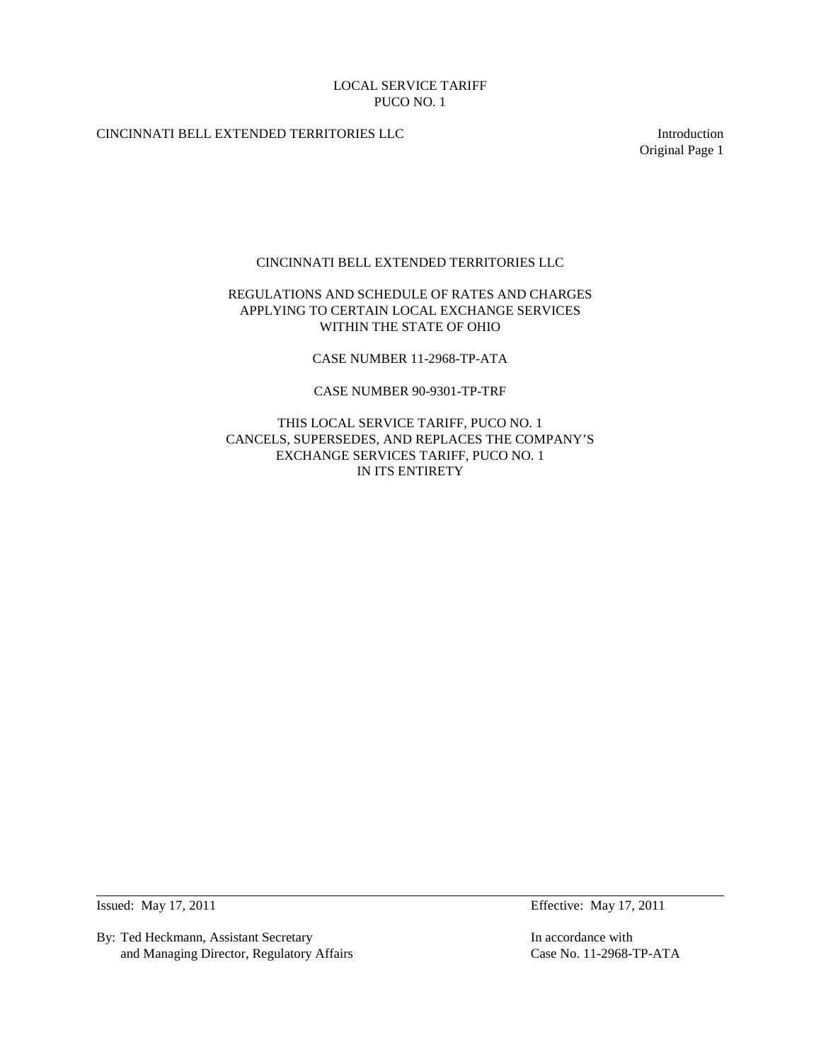# CINCINNATI BELL EXTENDED TERRITORIES LLC Introduction

Original Page 1

## CINCINNATI BELL EXTENDED TERRITORIES LLC

# REGULATIONS AND SCHEDULE OF RATES AND CHARGES APPLYING TO CERTAIN LOCAL EXCHANGE SERVICES WITHIN THE STATE OF OHIO

CASE NUMBER 11-2968-TP-ATA

CASE NUMBER 90-9301-TP-TRF

THIS LOCAL SERVICE TARIFF, PUCO NO. 1 CANCELS, SUPERSEDES, AND REPLACES THE COMPANY'S EXCHANGE SERVICES TARIFF, PUCO NO. 1 IN ITS ENTIRETY

By: Ted Heckmann, Assistant Secretary In accordance with and Managing Director, Regulatory Affairs Case No. 11-2968-TP-ATA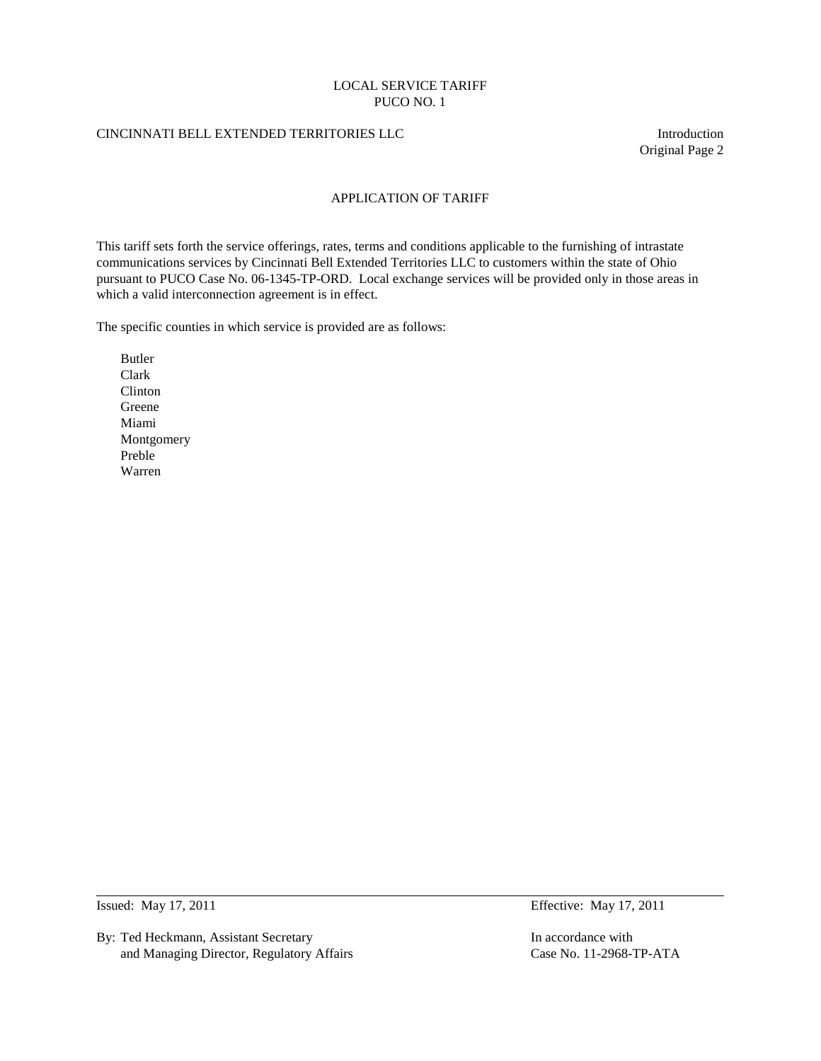### CINCINNATI BELL EXTENDED TERRITORIES LLC Introduction

Original Page 2

### APPLICATION OF TARIFF

This tariff sets forth the service offerings, rates, terms and conditions applicable to the furnishing of intrastate communications services by Cincinnati Bell Extended Territories LLC to customers within the state of Ohio pursuant to PUCO Case No. 06-1345-TP-ORD. Local exchange services will be provided only in those areas in which a valid interconnection agreement is in effect.

The specific counties in which service is provided are as follows:

Butler Clark Clinton Greene Miami Montgomery Preble Warren

By: Ted Heckmann, Assistant Secretary **In accordance with** In accordance with and Managing Director, Regulatory Affairs Case No. 11-2968-TP-ATA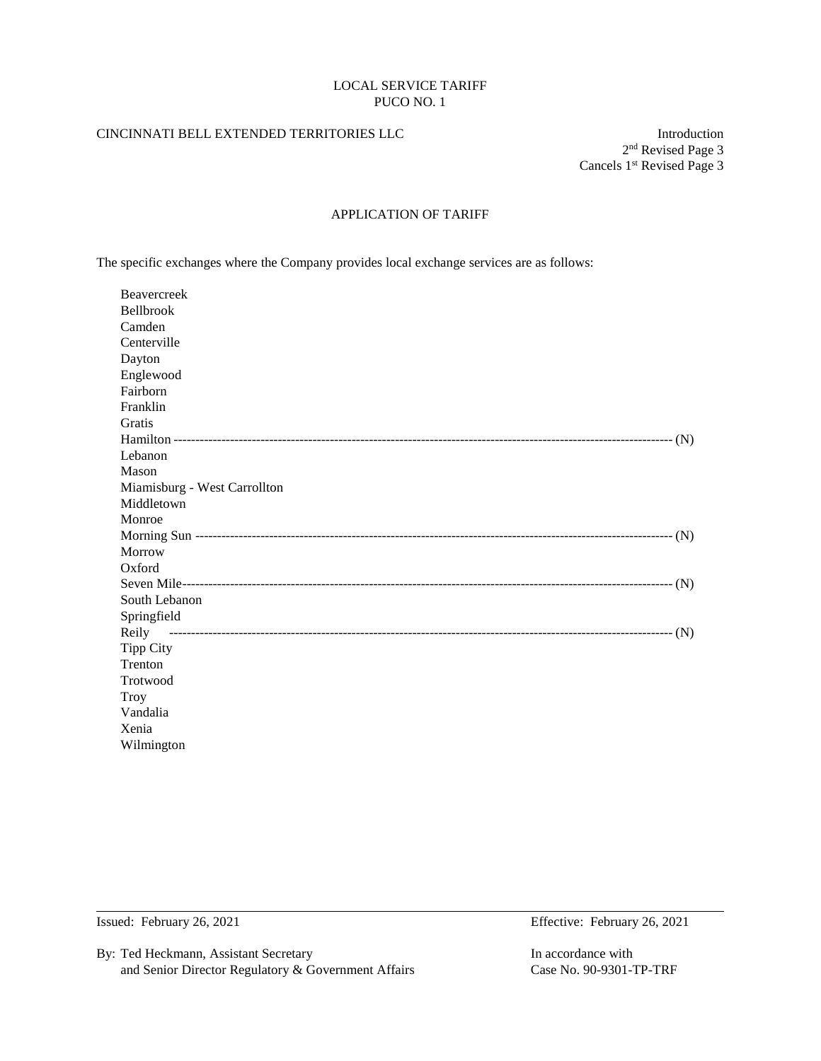## CINCINNATI BELL EXTENDED TERRITORIES LLC Introduction

2nd Revised Page 3 Cancels 1<sup>st</sup> Revised Page 3

# APPLICATION OF TARIFF

The specific exchanges where the Company provides local exchange services are as follows:

| Beavercreek                  |
|------------------------------|
| <b>Bellbrook</b>             |
| Camden                       |
| Centerville                  |
| Dayton                       |
| Englewood                    |
| Fairborn                     |
| Franklin                     |
| Gratis                       |
|                              |
| Lebanon                      |
| Mason                        |
| Miamisburg - West Carrollton |
| Middletown                   |
| Monroe                       |
|                              |
| Morrow                       |
| Oxford                       |
|                              |
| South Lebanon                |
| Springfield                  |
| Reily                        |
| <b>Tipp City</b>             |
| Trenton                      |
| Trotwood                     |
| <b>Troy</b>                  |
| Vandalia                     |
| Xenia                        |
| Wilmington                   |

By: Ted Heckmann, Assistant Secretary In accordance with and Senior Director Regulatory & Government Affairs Case No. 90-9301-TP-TRF

Issued: February 26, 2021 Effective: February 26, 2021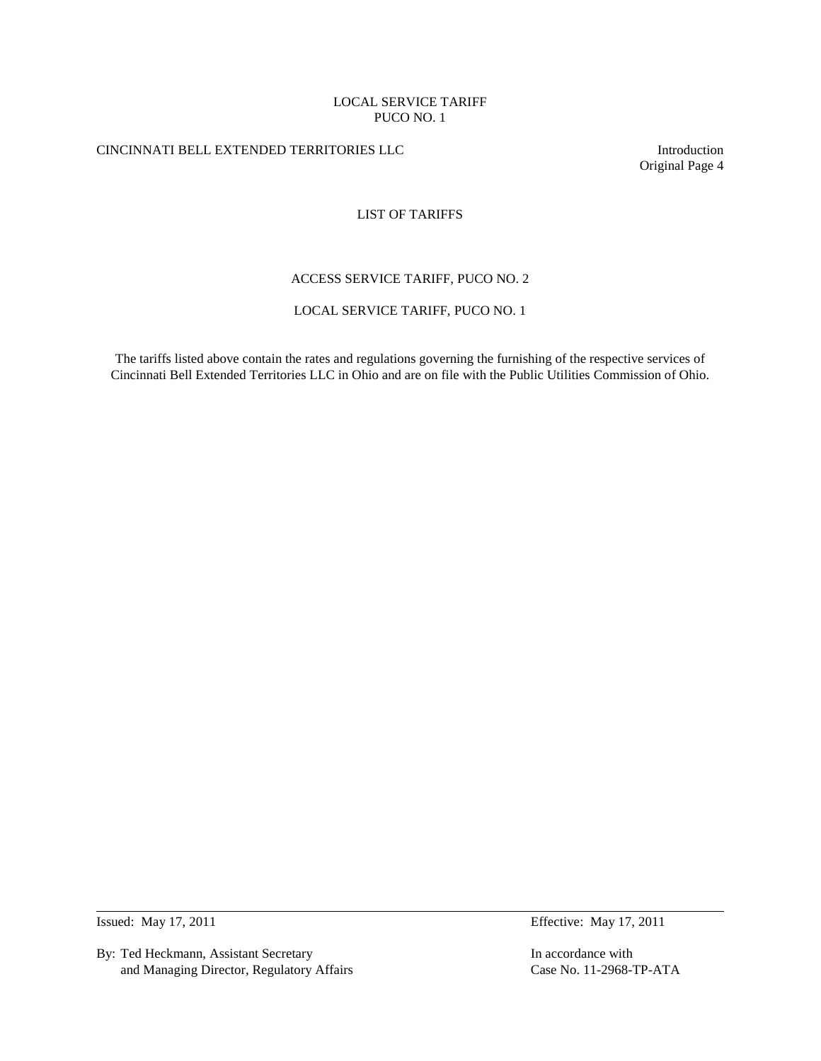# CINCINNATI BELL EXTENDED TERRITORIES LLC Introduction

Original Page 4

# LIST OF TARIFFS

# ACCESS SERVICE TARIFF, PUCO NO. 2

## LOCAL SERVICE TARIFF, PUCO NO. 1

The tariffs listed above contain the rates and regulations governing the furnishing of the respective services of Cincinnati Bell Extended Territories LLC in Ohio and are on file with the Public Utilities Commission of Ohio.

By: Ted Heckmann, Assistant Secretary **In accordance with** In accordance with and Managing Director, Regulatory Affairs Case No. 11-2968-TP-ATA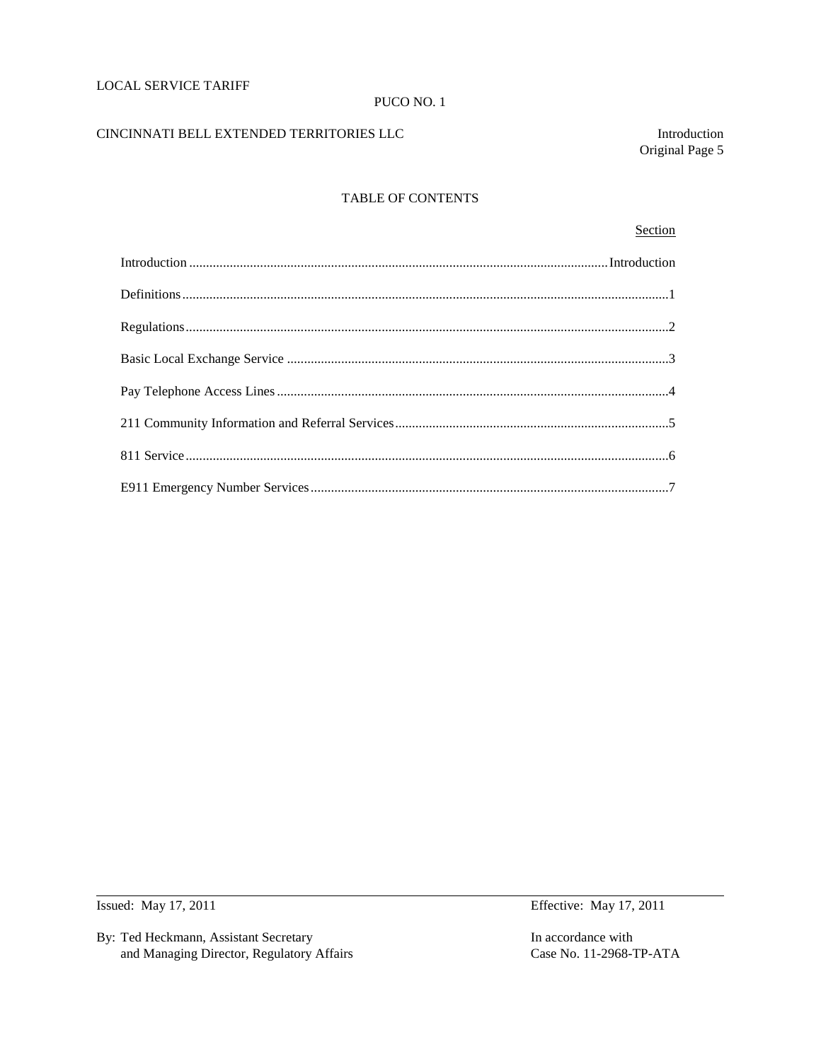## LOCAL SERVICE TARIFF

#### PUCO NO. 1

# CINCINNATI BELL EXTENDED TERRITORIES LLC Introduction

Original Page 5

# TABLE OF CONTENTS

### **Section**

By: Ted Heckmann, Assistant Secretary In accordance with and Managing Director, Regulatory Affairs Case No. 11-2968-TP-ATA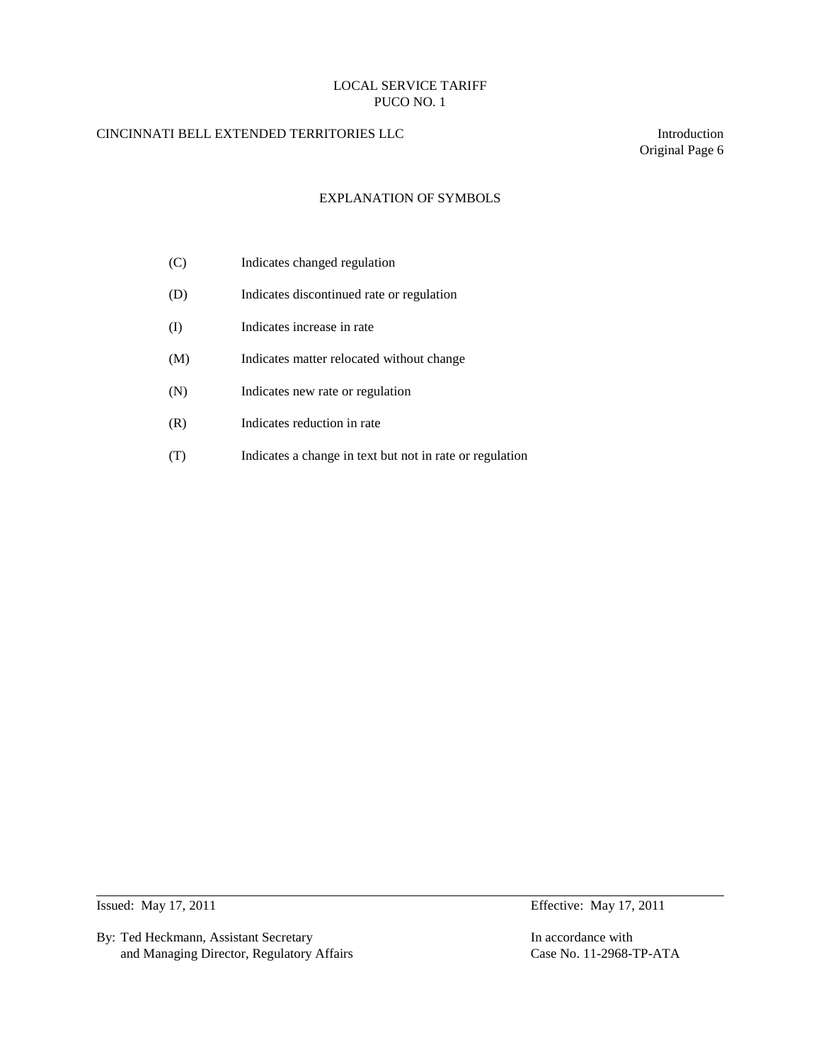# CINCINNATI BELL EXTENDED TERRITORIES LLC Introduction

Original Page 6

# EXPLANATION OF SYMBOLS

| (C) | Indicates changed regulation                             |
|-----|----------------------------------------------------------|
| (D) | Indicates discontinued rate or regulation                |
| (I) | Indicates increase in rate                               |
| (M) | Indicates matter relocated without change                |
| (N) | Indicates new rate or regulation                         |
| (R) | Indicates reduction in rate                              |
|     | Indicates a change in text but not in rate or regulation |

By: Ted Heckmann, Assistant Secretary In accordance with and Managing Director, Regulatory Affairs Case No. 11-2968-TP-ATA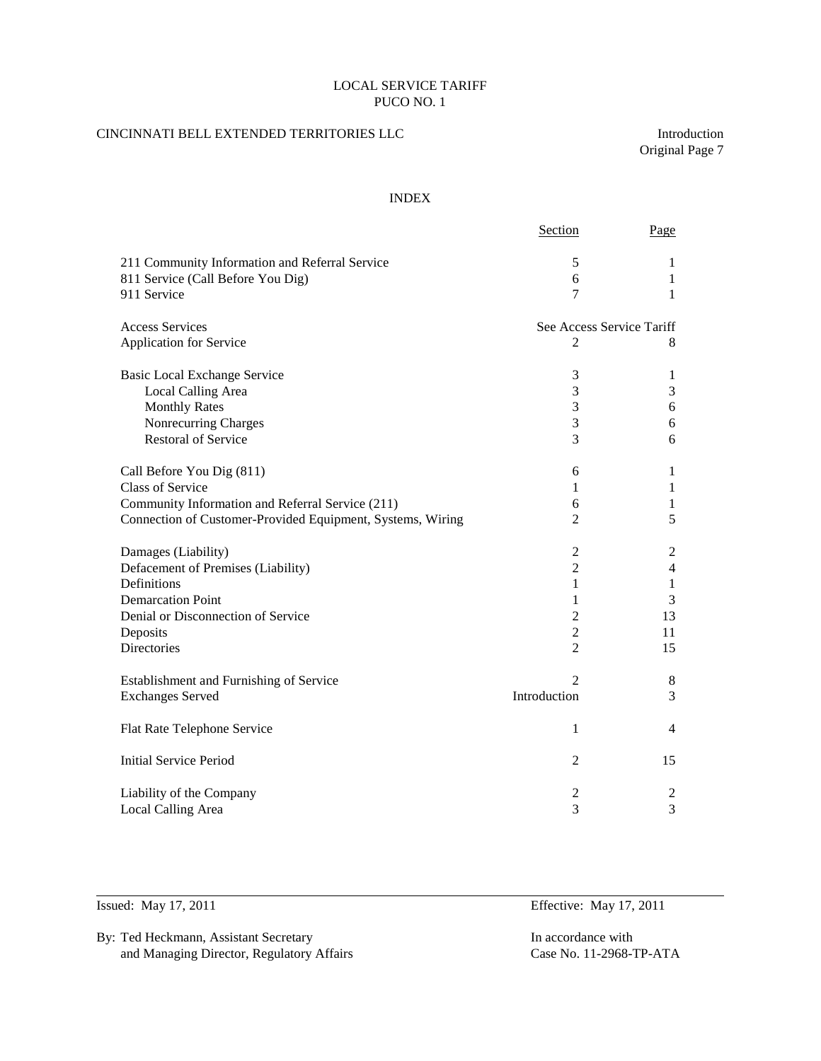# CINCINNATI BELL EXTENDED TERRITORIES LLC Introduction

Original Page 7

## INDEX

|                                                            | Section                   | Page           |
|------------------------------------------------------------|---------------------------|----------------|
| 211 Community Information and Referral Service             | 5                         | 1              |
| 811 Service (Call Before You Dig)                          | 6                         | 1              |
| 911 Service                                                | 7                         | 1              |
| <b>Access Services</b>                                     | See Access Service Tariff |                |
| Application for Service                                    | $\overline{2}$            | 8              |
| <b>Basic Local Exchange Service</b>                        | 3                         | 1              |
| Local Calling Area                                         | 3                         | 3              |
| <b>Monthly Rates</b>                                       | 3                         | 6              |
| Nonrecurring Charges                                       | $\mathfrak{Z}$            | 6              |
| <b>Restoral of Service</b>                                 | 3                         | 6              |
| Call Before You Dig (811)                                  | 6                         | 1              |
| Class of Service                                           | 1                         | $\mathbf{1}$   |
| Community Information and Referral Service (211)           | 6                         | $\mathbf{1}$   |
| Connection of Customer-Provided Equipment, Systems, Wiring | $\overline{2}$            | 5              |
| Damages (Liability)                                        | $\mathfrak 2$             | $\overline{c}$ |
| Defacement of Premises (Liability)                         | $\overline{2}$            | $\overline{4}$ |
| Definitions                                                | 1                         | $\mathbf{1}$   |
| <b>Demarcation Point</b>                                   | 1                         | 3              |
| Denial or Disconnection of Service                         | $\overline{c}$            | 13             |
| Deposits                                                   | $\overline{c}$            | 11             |
| <b>Directories</b>                                         | $\overline{2}$            | 15             |
| Establishment and Furnishing of Service                    | $\overline{2}$            | 8              |
| <b>Exchanges Served</b>                                    | Introduction              | 3              |
| Flat Rate Telephone Service                                | 1                         | 4              |
| <b>Initial Service Period</b>                              | $\overline{2}$            | 15             |
| Liability of the Company                                   | $\overline{c}$            | $\overline{c}$ |
| Local Calling Area                                         | 3                         | 3              |

By: Ted Heckmann, Assistant Secretary In accordance with and Managing Director, Regulatory Affairs Case No. 11-2968-TP-ATA